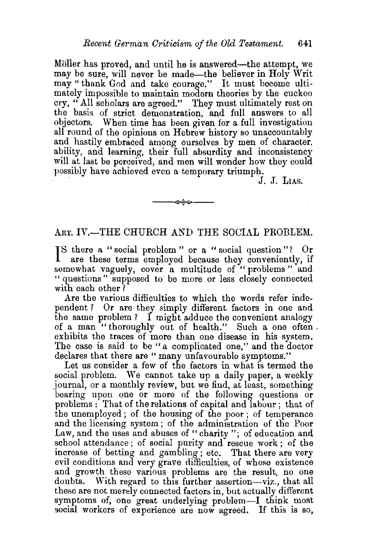Möller has proved, and until he is answered—the attempt, we may be sure, will never be made—the believer in Holy Writ may" thank God and take courage." It must become ultimately impossible to maintain modern theories by the cuckoo cry, "All scholars are agreed." They must ultimately rest on the basis of strict demonstration, and full answers to all objectors. When time has been given for a full investigation all round of the opinions on Hebrew history so unaccountably and hastily embraced among ourselves by men of character, ability, and learning, their full absurdity and inconsistency will at last be perceived, and men will wonder how they could possibly have achieved even a temporary triumph.  $I_{\rm L}$   $J_{\rm L}$  LIAS.

## ART. IV.-THE CHURCH AND THE SOCIAL PROBLEM.

 $~\rightarrow~$ 

I S there a "social problem" or a "social question"? Or are these terms employed because they conveniently, if somewhat vaguely, cover a multitude of "problems" and " questions" supposed to be more or less closely connected with each other?

Are the various difficulties to which the words refer independent ? Or are they simply different factors in one and the same problem? I might adduce the convenient analogy of a man "thoroughly out of health." Such a one often. exhibits the traces of more than one disease in his system. The case is said to be "a complicated one," and the doctor declares that there are "many unfavourable symptoms."

Let us consider a few of the factors in what is termed the social problem. We cannot take up a daily paper, a weekly journal, or a monthly review, but we find, at least, something bearing upon one or more of the following questions or problems : That of the relations of capital and labour ; that of the unemployed ; of the housing of the poor ; of temperance and the licensing system; of the administration of the Poor Law, and the uses and abuses of "charity"; of education and school attendance; of social purity and rescue work ; of the increase of betting and gambling ; etc. That there are very evil conditions and very grave difficulties, of whose existence and growth these various problems are the result, no one doubts. With regard to this further assertion-viz., that all these are not merely connected factors in, but actually different symptoms of, one great underlying problem-I think most social workers of experience are now agreed. If this is so,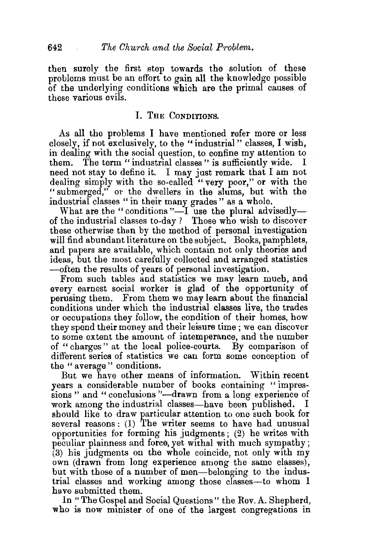then surely the first step towards the solution of these problems must be an effort to gain all the knowledge possible of the underlying conditions which are the primal causes of these various evils.

## I. THE CONDITIONS.

As all the problems I have mentioned refer more or less closelx, if not exclusively, to the "industrial" classes, I wish, in dealing with the social question, to confine my attention to them. The term "industrial classes " is sufficiently wide. I need not stay to define it. I may just remark that I am not dealing simply with the so-called "very poor," or with the "submerged," or the dwellers in the slums, but with the industrial classes "in their many grades" as a whole.

What are the "conditions"—I use the plural advisedly of the industrial classes to-day? Those who wish to discover these otherwise than by the method of personal investigation will find abundant literature on the subject. Books, pamphlets, and papers are available, which contain not only theories and ideas, but the most carefully collected and arranged statistics -often the results of years of personal investigation.

From such tables and statistics we may learn much, and every earnest social worker is glad of the opportunity of perusing them. From them we may learn about the financial conditions under which the industrial classes live, the trades or occupations they follow, the condition of their homes, how they spend their money and their leisure time ; we can discover to some extent the amount of intemperance, and the number of " charges " at the local police-courts. By comparison of different series of statistics we can form some conception of the "average" conditions.

But we have other means of information. Within recent years a considerable number of books containing "impressions " and " conclusions "--drawn from a long experience of work among the industrial classes-have been published. I work among the industrial classes—have been published. should like to draw particular attention to one such book for several reasons: (1) The writer seems to have had unusual opportunities for forming his judgments; (2) he writes with peculiar plainness and force, yet withal with much sympathy; (3) his judgments on the whole coincide, not only with my own (drawn from long experience among the same classes), but with those of a number of men-belonging to the industrial classes and working among those classes-to whom I have submitted them.

In "The Gospel and Social Questions" the Rev. A. Shepherd, who is now minister of one of the largest congregations in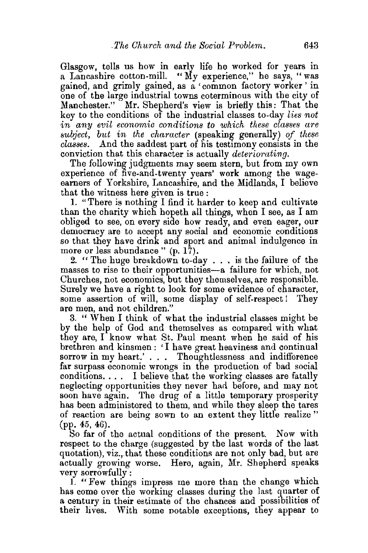Glasgow, tells us how in early life he worked for years in a Lancashire cotton-mill. "My experience," he says, "was gained, and grimly gained, as a 'common factory worker ' in one of the large industrial towns coterminous with the city of Manchester." Mr. Shepherd's view is briefly this: That the key to the conditions of the industrial classes to-day *lies not*  in any evil economic conditions to which these classes are  $subject, but in the character (speaking generally) of these$ *classes.* And the saddest part of his testimony consists in the conviction that this character is actually *deteriorating*.

The following judgments may seem stern, but from my own experience of five-and-twenty years' work among the wageearners of Yorkshire, Lancashire, and the Midlands, I believe that the witness here given is true :

1. "There is nothing I find it harder to keep and cultivate than the charity which hopeth all things, when I see, as I am obliged to see, on every side how ready, and even eager, our democracy are to accept any social and economic conditions so that they have drink and sport and animal indulgence in more or less abundance"  $(p, 17)$ .

2. " The huge breakdown to-day . . • is the failure of the masses to rise to their opportunities-a failure for which, not Churches, not economics, but they themselves, are responsible. Surely we have a right to look for some evidence of character, some assertion of will, some display of self-respect ! They are men, and not children."

3. " When I think of what the industrial classes might be by the help of God and themselves as compared with what they are, I know what St. Paul meant when he said of his brethren and kinsmen: 'I have great heaviness and continual sorrow in my heart.' . . . Thoughtlessness and indifference far surpass economic wrongs in the production of bad social conditions. . . . I believe that the working classes are fatally neglecting opportunities they never had before, and may not soon have again. The drug of a little temporary prosperity has been administered to them, and while they sleep the tares of reaction are being sown to an extent they little realize " (pp. 45, 46).

So far of the actual conditions of the present. Now with respect to the charge (suggested by the last words of the last quotation), viz., that these conditions are not only bad, but are actually growing worse. Here, again, Mr. Shepherd speaks very sorrowfully :

1. "Few things impress me more than the change which has come over the working classes during the last quarter of a century in their estimate of the chances and possibilities of their lives. With some notable exceptions, they appear to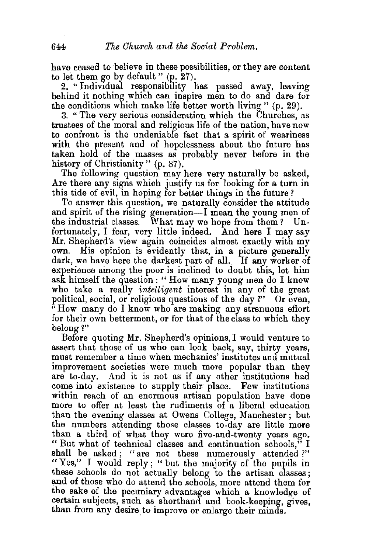have ceased to believe in these possibilities, or they are content to let them go by default " (p. 27).

2. "Individual responsibility has passed away, leaving behind it nothing which can inspire men to do and dare for the conditions which make life better worth living"  $(p. 29)$ .

3. " The very serious consideration which the Churches, as trustees of the moral and religious life of the nation, have now to confront is the undeniable fact that a spirit of weariness with the present and of hopelessness about the future has taken hold of the masses as probably never before in the history of Christianity" (p. 87).

The following question may here very naturally be asked, Are there any signs which justify us for looking for a turn in this tide of evil, in hoping for better things in the future?

To answer this question, we naturally consider the attitude and spirit of the rising generation-I mean the young men of the industrial classes. What may we hope from them? Un-What may we hope from them? Unfortunately, I fear, very little indeed. And here I may say Mr. Shepherd's view again coincides almost exactly with my own. His opinion is evidently that, in a picture generally dark, we have here the darkest part of alL. If any worker of experience among the poor is inclined to doubt this, let him ask himself the question: " How many young men do I know who take a really *intelligent* interest in any of the great political, social, or religious questions of the day *1"* Or even, "How many do I know who are making any strenuous effort for their own betterment, or for that of the class to which they belong?"

Before quoting Mr. Shepherd's opinions, I would venture to assert that those of us who can look back, say, thirty years, must remember a time when mechanics' institutes and mutual improvement societies were much more popular than they are to-day. And it is not as if any other institutions had come into existence to supply their place. Few institutions within reach of an enormous artisan population have done more to offer at least the rudiments of a liberal education than the evening classes at Owens College, Manchester ; but the numbers attending those classes to-day are little more than a third of what they were five-and-twenty years ago. "But what of technical classes and continuation schools," I shall be asked; "are not these numerously attended?" "Yes," I would reply; " but the majority of the pupils in these schools do not actually belong to the artisan classes ; and of those who do attend the schools, more attend them for the sake of the pecuniary advantages which a knowledge of certain subjects, such as shorthand and book-keeping, gives, than from any desire to improve or enlarge their minds.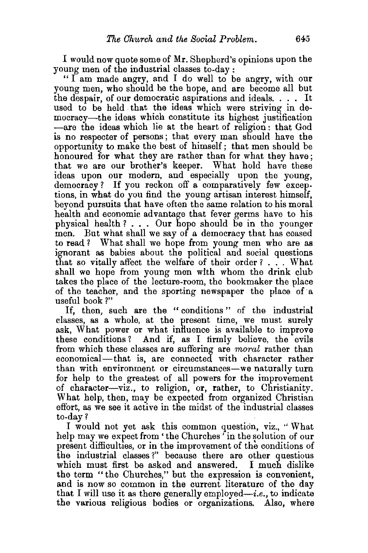I would now quote some of Mr. Shepherd's opinions upon the young men of the industrial classes to-day :

"  $\overline{\mathrm{I}}$  am made angry, and I do well to be angry, with our young men, who should be the hope, and are become all but the despair, of our democratic aspirations and ideals. . . . It used to be held that the ideas which were striving in democracy-the ideas which constitute its highest justification -are the ideas which lie at the heart of religion : that God is no respecter of persons; that every man should have the opportunity to make the best of himself; that men should be honoured for what they are rather than for what they have: that we are our brother's keeper. What hold have these ideas upon our modern, and especially upon the young, democracy? If you reckon off a comparatively few exceptions, in what do you find the young artisan interest himself, beyond pursuits that have often the same relation to his moral health and economic advantage that fever germs have to his physical health?... Our hope should be in the younger men. But what shall we say of a democracy that has ceased to read? What shall we hope from young men who are as ignorant as babies about the political and social questions that so vitally affect the welfare of their order?  $\ldots$  What shall we hope from young men with whom the drink club takes the place of the lecture-room, the bookmaker the place of the teacher, and the sporting newspaper the place of· a useful book ?"

If, then, such are the "conditions" of the industrial classes, as a whole, at the present time, we must surely ask, What power or what influence is available to improve these conditions? And if, as I firmly believe, the evils from which these classes are suffering are *moral* rather than economical-that is, are connected with character rather than with environment or circumstances-we naturally turn for help to the greatest of all powers for the improvement of character-viz., to religion, or, rather, to Christianity. What help, then, may be expected from organized Christian effort, as we see it active in the midst of the industrial classes to-day'?

I would not yet ask this common question, viz., '' What help may we expect from 'the Churches ' in the solution of our present difficulties, or in the improvement of the conditions of the industrial classes?" because there are other questions which must first be asked and answered. I much dislike the term "the Churches," but the expression is convenient, and is now so common in the current literature of the day that I will use it as there generally employed—*i.e.*, to indicate the various religious bodies or organizations. Also, where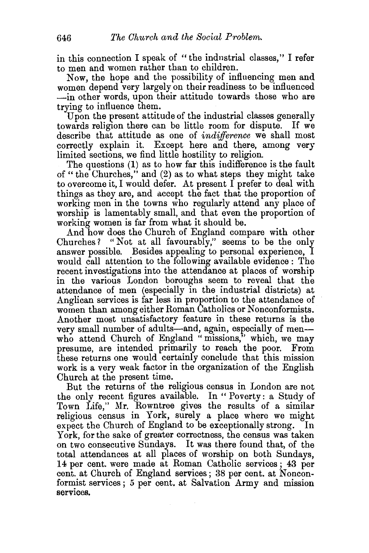in this connection I speak of " the indnstrial classes," I refer to men and women rather than to children.

Now, the hope and the possibility of influencing men and women depend very largely on their readiness to be influenced -in other words, upon their attitude towards those who are trying to influence them.

Upon the present attitude of the industrial classes generally towards religion there can be little room for dispute. If we describe that attitude as one of *indifference* we shall most correctly explain it. Except here and there, among very limited sections, we find little hostility to religion.

The questions (1) as to how far this indifference is the fault of "the Churches," and (2) as to what steps they might take to overcome it, I would defer. At present I prefer to deal with things as they are, and accept the fact that the proportion of working men in the towns who regularly attend any place of worship is lamentably small, and that even the proportion of working women is far from what it should be.

And how does the Church of England compare with other Churches? "Not at all favourably," seems to be the only answer possible. Besides appealing to personal experience, I would call attention to the following available evidence : The recent investigations into the attendance at places of worship in the various London boroughs seem to reveal that the attendance of men (especially in the industrial districts) at Anglican services is far less in proportion to the attendance of women than among either Roman Catholics or Nonconformists. Another most unsatisfactory feature in these returns is the very small number of adults-and, again, especially of menwho attend Church of England "missions," which, we may presume, are intended primarily to reach the poor. From these returns one would certainly conclude that this mission work is a very weak factor in the organization of the English Church at the present time.

But the returns of the religious census in London are not the only recent figures available. In " Povertv: a Study of Town Life," Mr. Rowntree gives the results of a similar religious census in York, surely a place where we might expect the Church of England to be exceptionally strong. In York, for the sake of greater correctness, the census was taken on two consecutive Sundays. It was there found that, of the total attendances at all places of worship on both Sundays, 14 per cent. were made at Roman Catholic services ; 43 per cent. at Church of England services; 38 per cent. at Nonconformist services ; 5 per cent. at Salvation Army and mission services.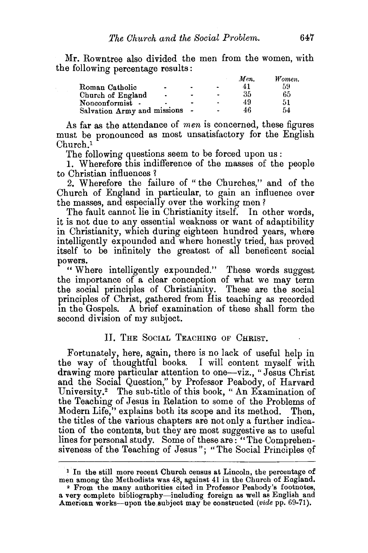Mr. Rowntree also divided the men from the women, with the following percentage results:

|                                     |                |                     | Men. | Women. |
|-------------------------------------|----------------|---------------------|------|--------|
| Roman Catholic                      |                | $\hat{\phantom{a}}$ | 41   | 59     |
| Church of England<br>$\blacksquare$ | ٠              |                     | 35   | 65     |
| Nonconformist -                     | $\blacksquare$ | ۰                   | 49   | 51     |
| Salvation Army and missions         |                |                     | 46   | 54     |

As far as the attendance of *men* is concerned, these figures must be pronounced as most unsatisfactory for the English Church.1

The following questions seem to be forced upon us:

1. Wherefore this indifference of the masses of the people to Christian influences 1

2. Wherefore the failure of "the Churches," and of the Church of England in particular, to gain an influence over the masses, and especially over the working men ?

The fault cannot lie in Christianity itself. In other words, it is not due to any essential weakness or want of adaptibility in Christianity, which during eighteen hundred years, where intelligently expounded and where honestly tried, has proved itself to be infinitely the greatest of all beneficent social powers.

"Where intelligently expounded." These words suggest the importance of a clear conception of what we may term the social principles of Christianity. These are the social principles of Christ, gathered from His teaching as recorded in the Gospels. A brief examination of these shall form the second division of my subject.

## II. THE SociAL TEACHING OF CHRIST.

Fortunately, here, again, there is no lack of useful help in the way of thoughtful books. I will content myself with drawing more particular attention to one-viz., "Jesus Christ and the Social Question," by Professor Peabody, of Harvard University.<sup>2</sup> The sub-title of this book, "An Examination of the Teaching of Jesus in Relation to some of the Problems of Modern Life," explains both its scope and its method. Then, the titles of the various chapters are not only a further indication of the contents, but they are most suggestive as to useful lines for personal study. Some of these are: "The Comprehensiveness of the Teaching of Jesus"; "The Social Principles of

<sup>&</sup>lt;sup>1</sup> In the still more recent Church census at Lincoln, the percentage of men among the Methodists was 48, against 41 in the Church of England.

<sup>2</sup>From the many authorities cited in Professor Peabody's footnotes, a very complete bibliography-including foreign as well as English and American works-upon the,subject may be constructed *(vide* pp. 69-71).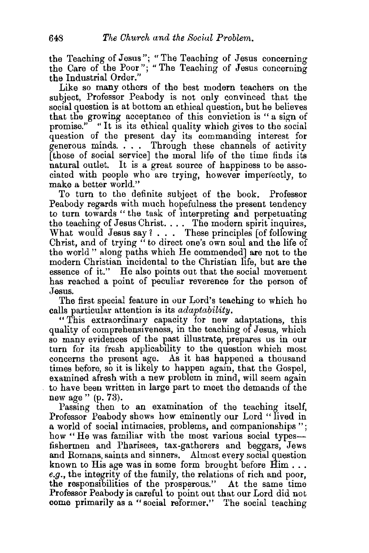the Teaching of Jesus"; "The Teaching of Jesus concerning the Care of the Poor"; "The Teaching of Jesus concerning the Industrial Order."

Like so many others of the best modern teachers on the subject, Professor Peabody is not only convinced that the social question is at bottom an ethical question, but he believes that the growing acceptance of this conviction is " a sign of promise." "It is its ethical quality which gives to the social question of the present day its commanding interest for generous minds. . . . Through these channels of activity [those of social service] the moral life of the time finds its natural outlet. It is a great source of happiness to be associated with people who are trying, however imperfectly, to make a better world."

To turn to the definite subject of the book. Professor Peabody regards with much hopefulness the present tendency to turn towards "the task of interpreting and perpetuating the teaching of Jesus Christ. . . . The modern spirit inquires, What would Jesus say?... These principles [of following Christ, and of trying " to direct one's own soul and the life of the world" along paths which He commended] are not to the modern Christian incidental to the Christian life, but are the essence of it." He also points out that the social movement has reached a point of peculiar reverence for the person of Jesus.

The first special feature in our Lord's teaching to which he calls particular attention is its *adaptability.* 

" This extraordinary capacity for new adaptations, this quality of comprehensiveness, in the teaching of Jesus, which so many evidences of the past illustrate, prepares us in our turn for its fresh applicability to the question which most concerns the present age. As it has happened a thousand times before, so it is likely to happen again, that the Gospel, examined afresh with a new problem in mind, will seem again to have been written in large part to meet the demands of the new age" (p. 73).

Passing then to an examination of the teaching itself, Professor Peabody shows how eminently our Lord "lived in a world of social intimacies, problems, and companionships "; how "He was familiar with the most various social typesfishermen and Pharisees, tax-gatherers and beggars, Jews and Romans, saints and sinners. Almost every social question known to His age was in some form brought before Him ... *e.g.,* the integrity of the family, the relations of rich and poor, the responsibilities of the prosperous." At the same time Professor Peabody is careful to point out that our Lord did not come primarily as a "social reformer." The social teaching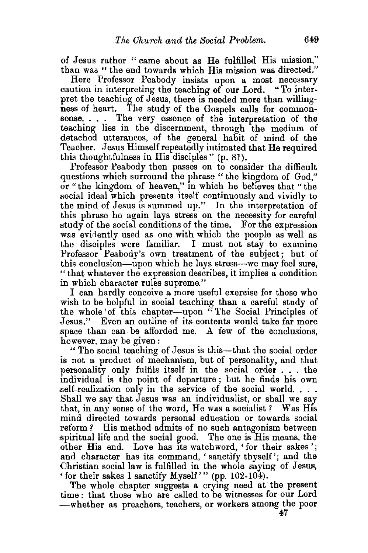of Jesus rather "came about as He fulfilled His mission," than was " the end towards which His mission was directed."

Here Professor Peabody insists upon a most necessary caution in interpreting the teaching of our Lord. "To interpret the teaching of Jesus, there is needed more than willingness of heart. The study of the Gospels calls for commonsense. . . . The very essence of the interpretation of the teaching lies in the discernment, through the medium of detached utterances, of the general habit of mind of the Teacher. Jesus Himself repeatedly intimated that He required this thoughtfulness in His disciples" (p. 81).

Professor Peabody then passes on to consider the difficult questions which surround the phrase "the kingdom of God," or "the kingdom of heaven," in which he believes that "the social ideal which presents itself continuously and vividly to the mind of Jesus is summed up." In the interpretation of this phrase he again lays stress on the necessity for careful study of the social conditions of the time. For the expression was evidently used as one with which the people as well as the disciples were familiar. I must not stay to examine Professor Peabody's own treatment of the subject; but of this conclusion-upon which he lays stress-we may feel sure, "that whatever the expression describes, it implies a condition in which character rules supreme."

I can hardly conceive a more useful exercise for those who wish to be helpful in social teaching than a careful study of the whole 'of this chapter-upon "The Social Principles of Jesus." Even an outline of its contents would take far more space than can. be afforded me. A few of the conclusions, however, may be given :

"The social teaching of Jesus is this-that the social order is not a product of mechanism, but of personality, and that personality only fulfils itself in the social order ... the individual is the point of departure; but he finds his own self-realization only in the service of the social world. . . . Shall we say that Jesus was an individualist, or shall we say that, in any sense of the word, He was a socialist ? Was His mind directed towards personal education or towards social Teform ? His method admits of no such antagonism between spiritual life and the social good. The one is His means, the other His end. Love has its watch word, ' for their sakes '; and character has its command, 'sanctify thyself'; and the Christian social law is fulfilled in the whole saying of Jesus, • for their sakes I sanctify Myself'" (pp. 102-104).

The whole chapter suggests a crying need at the present time: that those who are called to be witnesses for our Lord -whether as preachers, teachers, or workers among the poor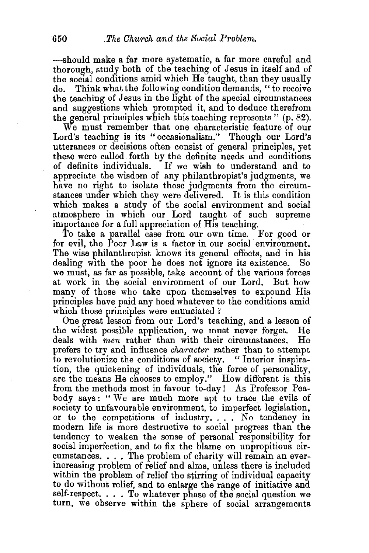-should make a far more systematic, a far more careful and thorough, study both of the teaching of Jesus in itself and of the social conditions amid which He taught, than they usually do. Think what the following condition demands, "to receive the teaching of Jesus in the light of the special circumstances and suggestions which prompted it, and to dednce therefrom the general principles which this teaching represents"  $(p. 82)$ .

We must remember that one characteristic feature of our Lord's teaching is its " occasionalism." Though our Lord's utterances or decisions often consist of general principles, yet these were called forth by the definite needs and conditions of definite individuals. If we wish to understand and to appreciate the wisdom of any philanthropist's judgments, we have no right to isolate those judgments from the circumstances under which they were delivered. It is this condition which makes a study of the social environment and social atmosphere in which our Lord taught of such supreme importance for a full appreciation of His teaching.

To take a parallel case from our own time. For good or for evil, the Poor Law is a factor in our social environment. The wise philanthropist knows its general effects, and in his dealing with the poor he does not ignore its existence. So dealing with the poor he does not ignore its existence. we must, as far as possible, take account of the various forces at work in the social environment of our Lord. But how many of those who take upon themselves to expound His principles have paid any heed whatever to the conditions amid which those principles were enunciated?

One great lesson from our Lord's teaching, and a lesson of the widest possible application, we must never forget. He deals with  $men$  rather than with their circumstances. He deals with *men* rather than with their circumstances. prefers to try and influence *character* rather than to attempt to revolutionize the conditions of society. "Interior inspiration, the quickening of individuals, the force of personality, are the means He chooses to employ." How different is this from the methods most in favour to-day! As Professor Peabody says : " We are much more apt to trace the evils of society to unfavourable environment, to imperfect legislation, or to the competitions of industry .... No tendency in modern life is more destructive to social progress than the tendency to weaken the sense of personal responsibility for social imperfection, and to fix the blame on unpropitious circumstances. . . . The problem of charity will remain an everincreasing problem of relief and alms, unless there is included within the problem of relief the stirring of individual capacity to do without relief, and to enlarge the range of initiative and self-respect.  $\ldots$  To whatever phase of the social question we turn, we observe within the sphere of social arrangements